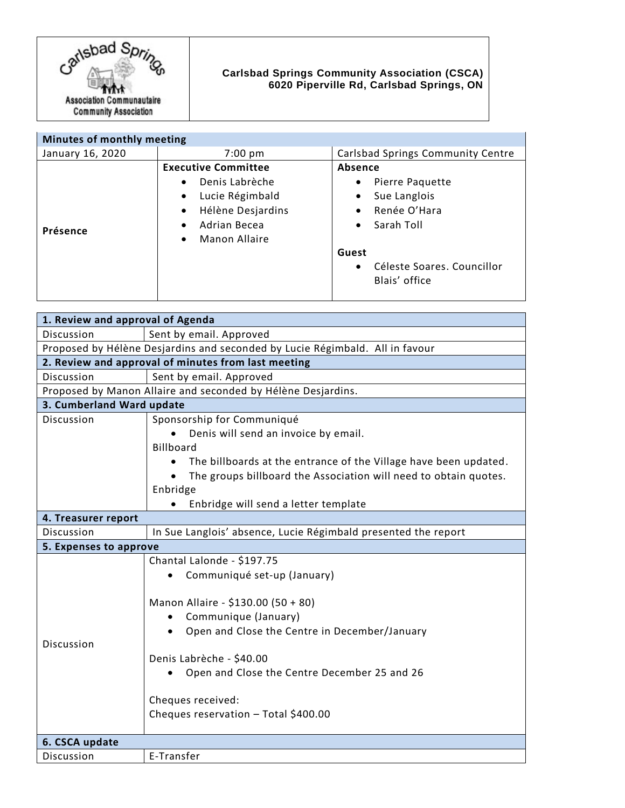

## **Carlsbad Springs Community Association (CSCA) 6020 Piperville Rd, Carlsbad Springs, ON**

| Minutes of monthly meeting |                                                                                                                                                                                               |                                                                                                                                                                                   |
|----------------------------|-----------------------------------------------------------------------------------------------------------------------------------------------------------------------------------------------|-----------------------------------------------------------------------------------------------------------------------------------------------------------------------------------|
| January 16, 2020           | $7:00 \text{ pm}$                                                                                                                                                                             | Carlsbad Springs Community Centre                                                                                                                                                 |
| Présence                   | <b>Executive Committee</b><br>Denis Labrèche<br>$\bullet$<br>Lucie Régimbald<br>$\bullet$<br>Hélène Desjardins<br>$\bullet$<br>Adrian Becea<br>$\bullet$<br><b>Manon Allaire</b><br>$\bullet$ | Absence<br>Pierre Paquette<br>٠<br>Sue Langlois<br>٠<br>Renée O'Hara<br>$\bullet$<br>Sarah Toll<br>$\bullet$<br>Guest<br>Céleste Soares, Councillor<br>$\bullet$<br>Blais' office |

| 1. Review and approval of Agenda                                             |                                                                  |  |
|------------------------------------------------------------------------------|------------------------------------------------------------------|--|
| Discussion                                                                   | Sent by email. Approved                                          |  |
| Proposed by Hélène Desjardins and seconded by Lucie Régimbald. All in favour |                                                                  |  |
| 2. Review and approval of minutes from last meeting                          |                                                                  |  |
| Discussion                                                                   | Sent by email. Approved                                          |  |
| Proposed by Manon Allaire and seconded by Hélène Desjardins.                 |                                                                  |  |
| 3. Cumberland Ward update                                                    |                                                                  |  |
| Discussion                                                                   | Sponsorship for Communiqué                                       |  |
|                                                                              | Denis will send an invoice by email.                             |  |
|                                                                              | <b>Billboard</b>                                                 |  |
|                                                                              | The billboards at the entrance of the Village have been updated. |  |
|                                                                              | The groups billboard the Association will need to obtain quotes. |  |
|                                                                              | Enbridge                                                         |  |
|                                                                              | Enbridge will send a letter template                             |  |
| 4. Treasurer report                                                          |                                                                  |  |
| Discussion                                                                   | In Sue Langlois' absence, Lucie Régimbald presented the report   |  |
| 5. Expenses to approve                                                       |                                                                  |  |
|                                                                              | Chantal Lalonde - \$197.75                                       |  |
| <b>Discussion</b>                                                            | Communiqué set-up (January)                                      |  |
|                                                                              | Manon Allaire - \$130.00 (50 + 80)                               |  |
|                                                                              | Communique (January)<br>$\bullet$                                |  |
|                                                                              | Open and Close the Centre in December/January<br>$\bullet$       |  |
|                                                                              |                                                                  |  |
|                                                                              | Denis Labrèche - \$40.00                                         |  |
|                                                                              | Open and Close the Centre December 25 and 26                     |  |
|                                                                              |                                                                  |  |
|                                                                              | Cheques received:                                                |  |
|                                                                              | Cheques reservation - Total \$400.00                             |  |
|                                                                              |                                                                  |  |
| 6. CSCA update                                                               |                                                                  |  |
| Discussion                                                                   | E-Transfer                                                       |  |